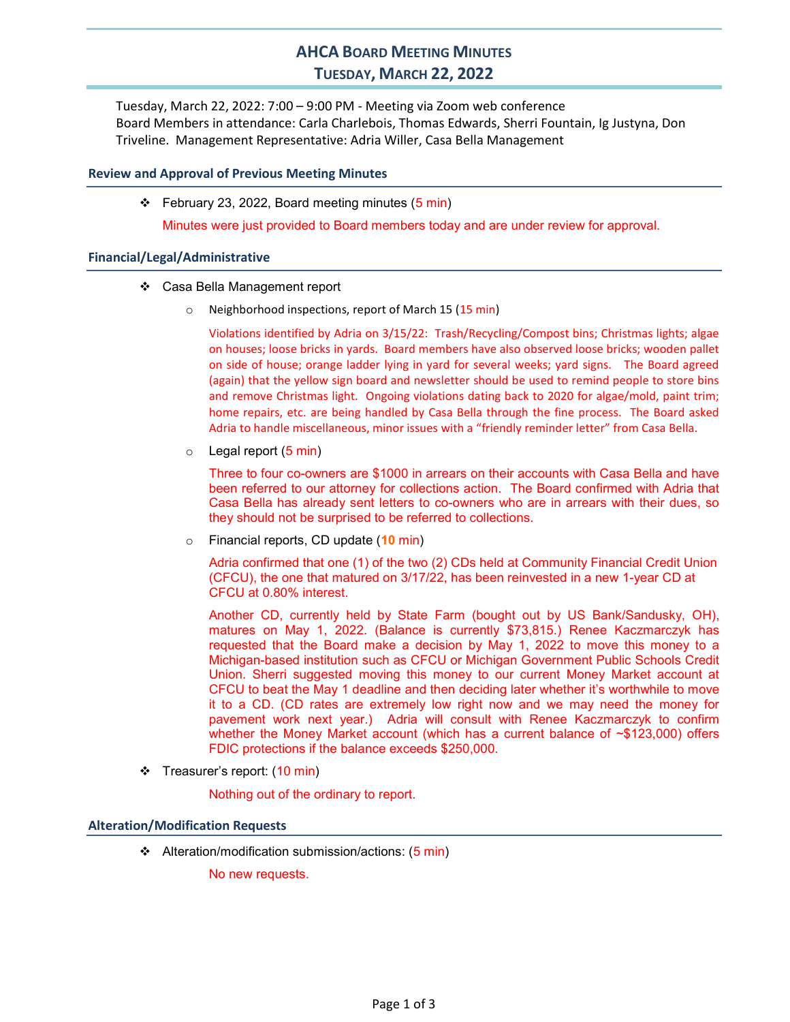# AHCA BOARD MEETING MINUTES TUESDAY, MARCH 22, 2022

Tuesday, March 22, 2022: 7:00 – 9:00 PM - Meeting via Zoom web conference Board Members in attendance: Carla Charlebois, Thomas Edwards, Sherri Fountain, Ig Justyna, Don Triveline. Management Representative: Adria Willer, Casa Bella Management

# Review and Approval of Previous Meeting Minutes

 $\div$  February 23, 2022, Board meeting minutes (5 min)

Minutes were just provided to Board members today and are under review for approval.

## Financial/Legal/Administrative

- Casa Bella Management report
	- Neighborhood inspections, report of March 15 (15 min)

Violations identified by Adria on 3/15/22: Trash/Recycling/Compost bins; Christmas lights; algae on houses; loose bricks in yards. Board members have also observed loose bricks; wooden pallet on side of house; orange ladder lying in yard for several weeks; yard signs. The Board agreed (again) that the yellow sign board and newsletter should be used to remind people to store bins and remove Christmas light. Ongoing violations dating back to 2020 for algae/mold, paint trim; home repairs, etc. are being handled by Casa Bella through the fine process. The Board asked Adria to handle miscellaneous, minor issues with a "friendly reminder letter" from Casa Bella.

 $\circ$  Legal report (5 min)

Three to four co-owners are \$1000 in arrears on their accounts with Casa Bella and have been referred to our attorney for collections action. The Board confirmed with Adria that Casa Bella has already sent letters to co-owners who are in arrears with their dues, so they should not be surprised to be referred to collections.

 $\circ$  Financial reports, CD update (10 min)

Adria confirmed that one (1) of the two (2) CDs held at Community Financial Credit Union (CFCU), the one that matured on 3/17/22, has been reinvested in a new 1-year CD at CFCU at 0.80% interest.

Another CD, currently held by State Farm (bought out by US Bank/Sandusky, OH), matures on May 1, 2022. (Balance is currently \$73,815.) Renee Kaczmarczyk has requested that the Board make a decision by May 1, 2022 to move this money to a Michigan-based institution such as CFCU or Michigan Government Public Schools Credit Union. Sherri suggested moving this money to our current Money Market account at CFCU to beat the May 1 deadline and then deciding later whether it's worthwhile to move it to a CD. (CD rates are extremely low right now and we may need the money for pavement work next year.) Adria will consult with Renee Kaczmarczyk to confirm whether the Money Market account (which has a current balance of ~\$123,000) offers FDIC protections if the balance exceeds \$250,000.

Treasurer's report: (10 min)

Nothing out of the ordinary to report.

## Alteration/Modification Requests

Alteration/modification submission/actions: (5 min)

No new requests.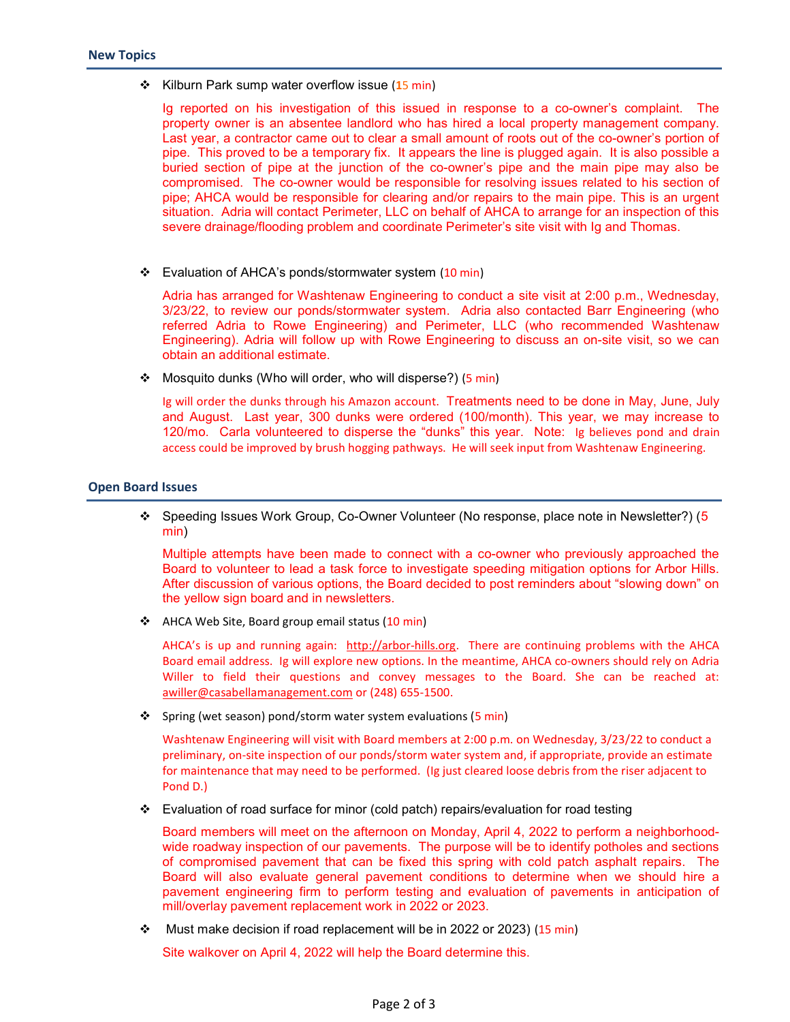❖ Kilburn Park sump water overflow issue (15 min)

Ig reported on his investigation of this issued in response to a co-owner's complaint. The property owner is an absentee landlord who has hired a local property management company. Last year, a contractor came out to clear a small amount of roots out of the co-owner's portion of pipe. This proved to be a temporary fix. It appears the line is plugged again. It is also possible a buried section of pipe at the junction of the co-owner's pipe and the main pipe may also be compromised. The co-owner would be responsible for resolving issues related to his section of pipe; AHCA would be responsible for clearing and/or repairs to the main pipe. This is an urgent situation. Adria will contact Perimeter, LLC on behalf of AHCA to arrange for an inspection of this severe drainage/flooding problem and coordinate Perimeter's site visit with Ig and Thomas.

Evaluation of AHCA's ponds/stormwater system (10 min)

Adria has arranged for Washtenaw Engineering to conduct a site visit at 2:00 p.m., Wednesday, 3/23/22, to review our ponds/stormwater system. Adria also contacted Barr Engineering (who referred Adria to Rowe Engineering) and Perimeter, LLC (who recommended Washtenaw Engineering). Adria will follow up with Rowe Engineering to discuss an on-site visit, so we can obtain an additional estimate.

**❖** Mosquito dunks (Who will order, who will disperse?) (5 min)

Ig will order the dunks through his Amazon account. Treatments need to be done in May, June, July and August. Last year, 300 dunks were ordered (100/month). This year, we may increase to 120/mo. Carla volunteered to disperse the "dunks" this year. Note: Ig believes pond and drain access could be improved by brush hogging pathways. He will seek input from Washtenaw Engineering.

#### Open Board Issues

 Speeding Issues Work Group, Co-Owner Volunteer (No response, place note in Newsletter?) (5 min)

Multiple attempts have been made to connect with a co-owner who previously approached the Board to volunteer to lead a task force to investigate speeding mitigation options for Arbor Hills. After discussion of various options, the Board decided to post reminders about "slowing down" on the yellow sign board and in newsletters.

❖ AHCA Web Site, Board group email status (10 min)

AHCA's is up and running again: http://arbor-hills.org. There are continuing problems with the AHCA Board email address. Ig will explore new options. In the meantime, AHCA co-owners should rely on Adria Willer to field their questions and convey messages to the Board. She can be reached at: awiller@casabellamanagement.com or (248) 655-1500.

❖ Spring (wet season) pond/storm water system evaluations (5 min)

Washtenaw Engineering will visit with Board members at 2:00 p.m. on Wednesday, 3/23/22 to conduct a preliminary, on-site inspection of our ponds/storm water system and, if appropriate, provide an estimate for maintenance that may need to be performed. (Ig just cleared loose debris from the riser adjacent to Pond D.)

Evaluation of road surface for minor (cold patch) repairs/evaluation for road testing

Board members will meet on the afternoon on Monday, April 4, 2022 to perform a neighborhoodwide roadway inspection of our pavements. The purpose will be to identify potholes and sections of compromised pavement that can be fixed this spring with cold patch asphalt repairs. The Board will also evaluate general pavement conditions to determine when we should hire a pavement engineering firm to perform testing and evaluation of pavements in anticipation of mill/overlay pavement replacement work in 2022 or 2023.

• Must make decision if road replacement will be in 2022 or 2023) (15 min)

Site walkover on April 4, 2022 will help the Board determine this.